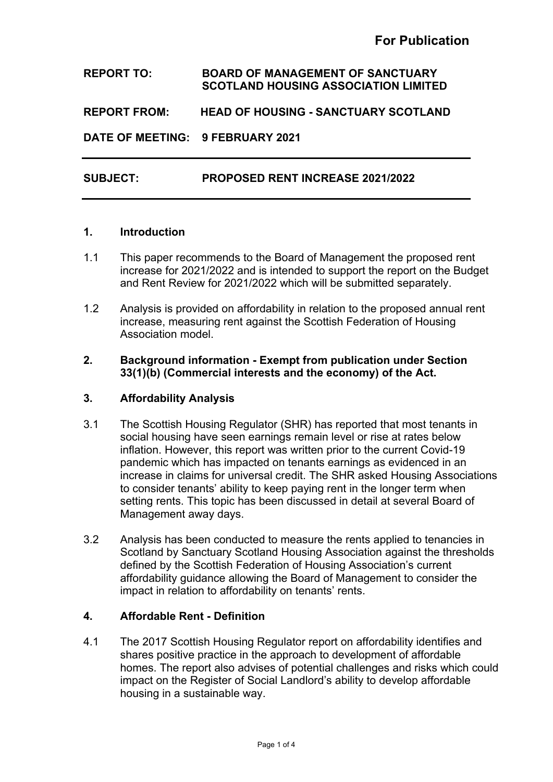## **REPORT TO: BOARD OF MANAGEMENT OF SANCTUARY SCOTLAND HOUSING ASSOCIATION LIMITED**

**REPORT FROM: HEAD OF HOUSING - SANCTUARY SCOTLAND**

**DATE OF MEETING: 9 FEBRUARY 2021**

### **SUBJECT: PROPOSED RENT INCREASE 2021/2022**

#### **1. Introduction**

- 1.1 This paper recommends to the Board of Management the proposed rent increase for 2021/2022 and is intended to support the report on the Budget and Rent Review for 2021/2022 which will be submitted separately.
- 1.2 Analysis is provided on affordability in relation to the proposed annual rent increase, measuring rent against the Scottish Federation of Housing Association model.

#### **2. Background information - Exempt from publication under Section 33(1)(b) (Commercial interests and the economy) of the Act.**

#### **3. Affordability Analysis**

- 3.1 The Scottish Housing Regulator (SHR) has reported that most tenants in social housing have seen earnings remain level or rise at rates below inflation. However, this report was written prior to the current Covid-19 pandemic which has impacted on tenants earnings as evidenced in an increase in claims for universal credit. The SHR asked Housing Associations to consider tenants' ability to keep paying rent in the longer term when setting rents. This topic has been discussed in detail at several Board of Management away days.
- 3.2 Analysis has been conducted to measure the rents applied to tenancies in Scotland by Sanctuary Scotland Housing Association against the thresholds defined by the Scottish Federation of Housing Association's current affordability guidance allowing the Board of Management to consider the impact in relation to affordability on tenants' rents.

### **4. Affordable Rent - Definition**

4.1 The 2017 Scottish Housing Regulator report on affordability identifies and shares positive practice in the approach to development of affordable homes. The report also advises of potential challenges and risks which could impact on the Register of Social Landlord's ability to develop affordable housing in a sustainable way.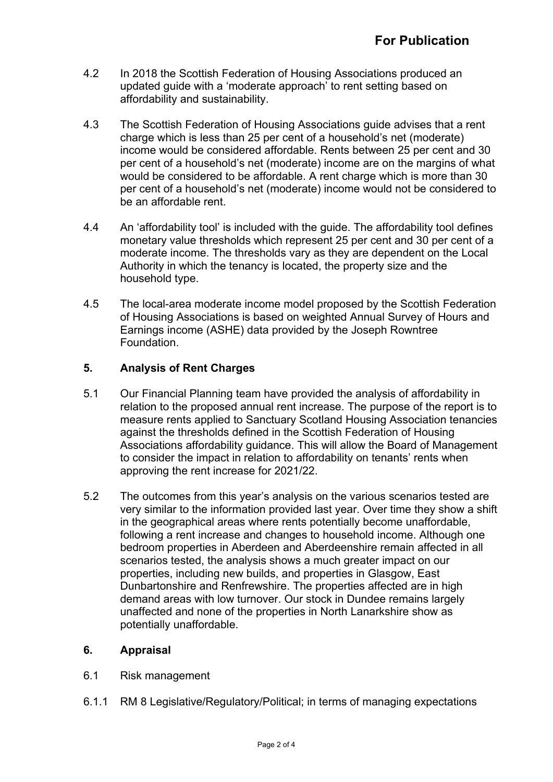- 4.2 In 2018 the Scottish Federation of Housing Associations produced an updated guide with a 'moderate approach' to rent setting based on affordability and sustainability.
- 4.3 The Scottish Federation of Housing Associations guide advises that a rent charge which is less than 25 per cent of a household's net (moderate) income would be considered affordable. Rents between 25 per cent and 30 per cent of a household's net (moderate) income are on the margins of what would be considered to be affordable. A rent charge which is more than 30 per cent of a household's net (moderate) income would not be considered to be an affordable rent.
- 4.4 An 'affordability tool' is included with the guide. The affordability tool defines monetary value thresholds which represent 25 per cent and 30 per cent of a moderate income. The thresholds vary as they are dependent on the Local Authority in which the tenancy is located, the property size and the household type.
- 4.5 The local-area moderate income model proposed by the Scottish Federation of Housing Associations is based on weighted Annual Survey of Hours and Earnings income (ASHE) data provided by the Joseph Rowntree Foundation.

# **5. Analysis of Rent Charges**

- 5.1 Our Financial Planning team have provided the analysis of affordability in relation to the proposed annual rent increase. The purpose of the report is to measure rents applied to Sanctuary Scotland Housing Association tenancies against the thresholds defined in the Scottish Federation of Housing Associations affordability guidance. This will allow the Board of Management to consider the impact in relation to affordability on tenants' rents when approving the rent increase for 2021/22.
- 5.2 The outcomes from this year's analysis on the various scenarios tested are very similar to the information provided last year. Over time they show a shift in the geographical areas where rents potentially become unaffordable, following a rent increase and changes to household income. Although one bedroom properties in Aberdeen and Aberdeenshire remain affected in all scenarios tested, the analysis shows a much greater impact on our properties, including new builds, and properties in Glasgow, East Dunbartonshire and Renfrewshire. The properties affected are in high demand areas with low turnover. Our stock in Dundee remains largely unaffected and none of the properties in North Lanarkshire show as potentially unaffordable.

# **6. Appraisal**

- 6.1 Risk management
- 6.1.1 RM 8 Legislative/Regulatory/Political; in terms of managing expectations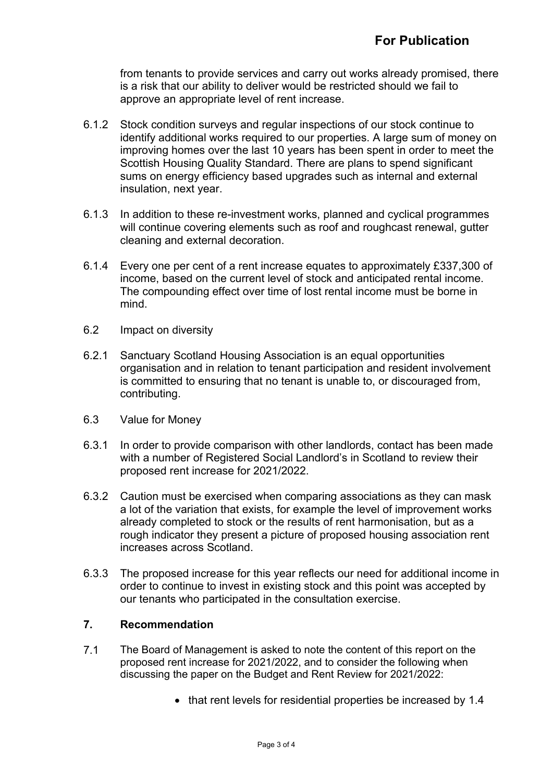from tenants to provide services and carry out works already promised, there is a risk that our ability to deliver would be restricted should we fail to approve an appropriate level of rent increase.

- 6.1.2 Stock condition surveys and regular inspections of our stock continue to identify additional works required to our properties. A large sum of money on improving homes over the last 10 years has been spent in order to meet the Scottish Housing Quality Standard. There are plans to spend significant sums on energy efficiency based upgrades such as internal and external insulation, next year.
- 6.1.3 In addition to these re-investment works, planned and cyclical programmes will continue covering elements such as roof and roughcast renewal, gutter cleaning and external decoration.
- 6.1.4 Every one per cent of a rent increase equates to approximately £337,300 of income, based on the current level of stock and anticipated rental income. The compounding effect over time of lost rental income must be borne in mind.
- 6.2 Impact on diversity
- 6.2.1 Sanctuary Scotland Housing Association is an equal opportunities organisation and in relation to tenant participation and resident involvement is committed to ensuring that no tenant is unable to, or discouraged from, contributing.
- 6.3 Value for Money
- 6.3.1 In order to provide comparison with other landlords, contact has been made with a number of Registered Social Landlord's in Scotland to review their proposed rent increase for 2021/2022.
- 6.3.2 Caution must be exercised when comparing associations as they can mask a lot of the variation that exists, for example the level of improvement works already completed to stock or the results of rent harmonisation, but as a rough indicator they present a picture of proposed housing association rent increases across Scotland.
- 6.3.3 The proposed increase for this year reflects our need for additional income in order to continue to invest in existing stock and this point was accepted by our tenants who participated in the consultation exercise.

## **7. Recommendation**

- 7.1 The Board of Management is asked to note the content of this report on the proposed rent increase for 2021/2022, and to consider the following when discussing the paper on the Budget and Rent Review for 2021/2022:
	- that rent levels for residential properties be increased by 1.4